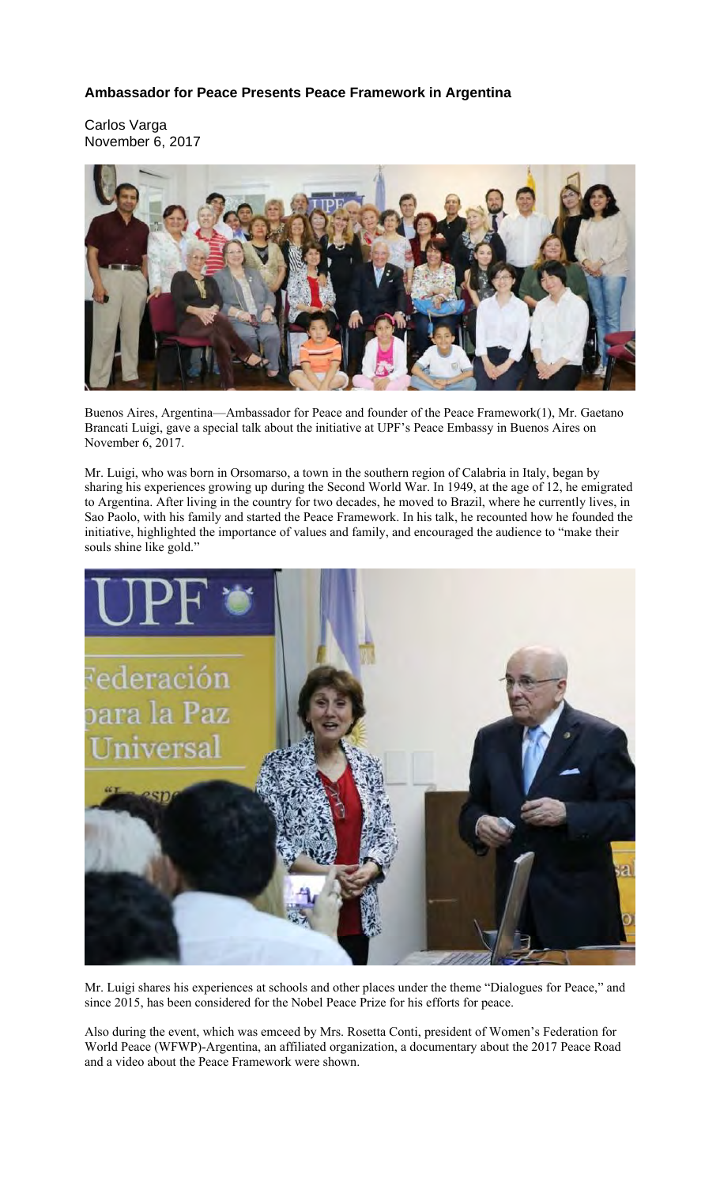## **Ambassador for Peace Presents Peace Framework in Argentina**

Carlos Varga November 6, 2017



Buenos Aires, Argentina—Ambassador for Peace and founder of the Peace Framework(1), Mr. Gaetano Brancati Luigi, gave a special talk about the initiative at UPF's Peace Embassy in Buenos Aires on November 6, 2017.

Mr. Luigi, who was born in Orsomarso, a town in the southern region of Calabria in Italy, began by sharing his experiences growing up during the Second World War. In 1949, at the age of 12, he emigrated to Argentina. After living in the country for two decades, he moved to Brazil, where he currently lives, in Sao Paolo, with his family and started the Peace Framework. In his talk, he recounted how he founded the initiative, highlighted the importance of values and family, and encouraged the audience to "make their souls shine like gold."



Mr. Luigi shares his experiences at schools and other places under the theme "Dialogues for Peace," and since 2015, has been considered for the Nobel Peace Prize for his efforts for peace.

Also during the event, which was emceed by Mrs. Rosetta Conti, president of Women's Federation for World Peace (WFWP)-Argentina, an affiliated organization, a documentary about the 2017 Peace Road and a video about the Peace Framework were shown.